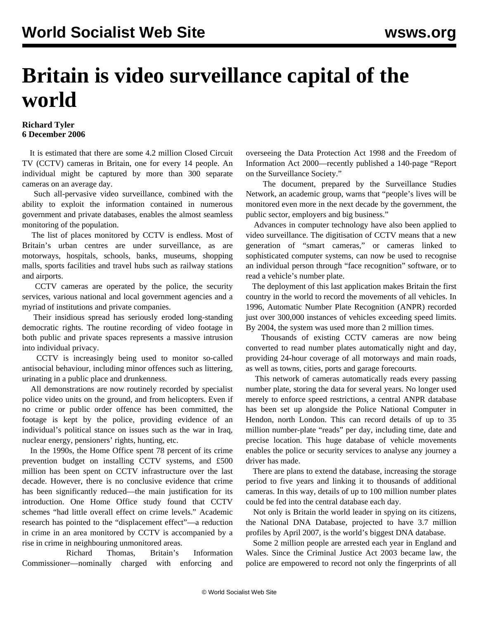## **Britain is video surveillance capital of the world**

## **Richard Tyler 6 December 2006**

 It is estimated that there are some 4.2 million Closed Circuit TV (CCTV) cameras in Britain, one for every 14 people. An individual might be captured by more than 300 separate cameras on an average day.

 Such all-pervasive video surveillance, combined with the ability to exploit the information contained in numerous government and private databases, enables the almost seamless monitoring of the population.

 The list of places monitored by CCTV is endless. Most of Britain's urban centres are under surveillance, as are motorways, hospitals, schools, banks, museums, shopping malls, sports facilities and travel hubs such as railway stations and airports.

 CCTV cameras are operated by the police, the security services, various national and local government agencies and a myriad of institutions and private companies.

 Their insidious spread has seriously eroded long-standing democratic rights. The routine recording of video footage in both public and private spaces represents a massive intrusion into individual privacy.

 CCTV is increasingly being used to monitor so-called antisocial behaviour, including minor offences such as littering, urinating in a public place and drunkenness.

 All demonstrations are now routinely recorded by specialist police video units on the ground, and from helicopters. Even if no crime or public order offence has been committed, the footage is kept by the police, providing evidence of an individual's political stance on issues such as the war in Iraq, nuclear energy, pensioners' rights, hunting, etc.

 In the 1990s, the Home Office spent 78 percent of its crime prevention budget on installing CCTV systems, and £500 million has been spent on CCTV infrastructure over the last decade. However, there is no conclusive evidence that crime has been significantly reduced—the main justification for its introduction. One Home Office study found that CCTV schemes "had little overall effect on crime levels." Academic research has pointed to the "displacement effect"—a reduction in crime in an area monitored by CCTV is accompanied by a rise in crime in neighbouring unmonitored areas.

 Richard Thomas, Britain's Information Commissioner—nominally charged with enforcing and overseeing the Data Protection Act 1998 and the Freedom of Information Act 2000—recently published a 140-page "Report on the Surveillance Society."

 The document, prepared by the Surveillance Studies Network, an academic group, warns that "people's lives will be monitored even more in the next decade by the government, the public sector, employers and big business."

 Advances in computer technology have also been applied to video surveillance. The digitisation of CCTV means that a new generation of "smart cameras," or cameras linked to sophisticated computer systems, can now be used to recognise an individual person through "face recognition" software, or to read a vehicle's number plate.

 The deployment of this last application makes Britain the first country in the world to record the movements of all vehicles. In 1996, Automatic Number Plate Recognition (ANPR) recorded just over 300,000 instances of vehicles exceeding speed limits. By 2004, the system was used more than 2 million times.

 Thousands of existing CCTV cameras are now being converted to read number plates automatically night and day, providing 24-hour coverage of all motorways and main roads, as well as towns, cities, ports and garage forecourts.

 This network of cameras automatically reads every passing number plate, storing the data for several years. No longer used merely to enforce speed restrictions, a central ANPR database has been set up alongside the Police National Computer in Hendon, north London. This can record details of up to 35 million number-plate "reads" per day, including time, date and precise location. This huge database of vehicle movements enables the police or security services to analyse any journey a driver has made.

 There are plans to extend the database, increasing the storage period to five years and linking it to thousands of additional cameras. In this way, details of up to 100 million number plates could be fed into the central database each day.

 Not only is Britain the world leader in spying on its citizens, the National DNA Database, projected to have 3.7 million profiles by April 2007, is the world's biggest DNA database.

 Some 2 million people are arrested each year in England and Wales. Since the Criminal Justice Act 2003 became law, the police are empowered to record not only the fingerprints of all